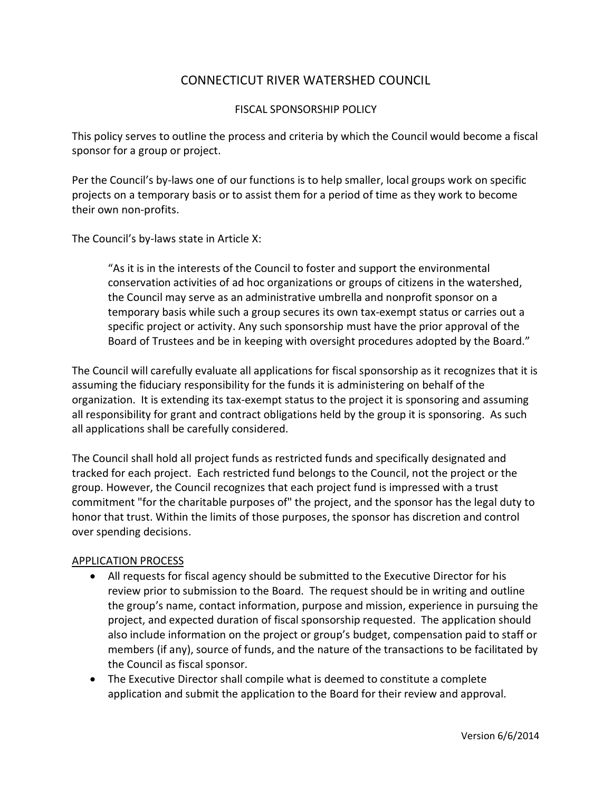# CONNECTICUT RIVER WATERSHED COUNCIL

### FISCAL SPONSORSHIP POLICY

This policy serves to outline the process and criteria by which the Council would become a fiscal sponsor for a group or project.

Per the Council's by-laws one of our functions is to help smaller, local groups work on specific projects on a temporary basis or to assist them for a period of time as they work to become their own non-profits.

The Council's by-laws state in Article X:

"As it is in the interests of the Council to foster and support the environmental conservation activities of ad hoc organizations or groups of citizens in the watershed, the Council may serve as an administrative umbrella and nonprofit sponsor on a temporary basis while such a group secures its own tax-exempt status or carries out a specific project or activity. Any such sponsorship must have the prior approval of the Board of Trustees and be in keeping with oversight procedures adopted by the Board."

The Council will carefully evaluate all applications for fiscal sponsorship as it recognizes that it is assuming the fiduciary responsibility for the funds it is administering on behalf of the organization. It is extending its tax-exempt status to the project it is sponsoring and assuming all responsibility for grant and contract obligations held by the group it is sponsoring. As such all applications shall be carefully considered.

The Council shall hold all project funds as restricted funds and specifically designated and tracked for each project. Each restricted fund belongs to the Council, not the project or the group. However, the Council recognizes that each project fund is impressed with a trust commitment "for the charitable purposes of" the project, and the sponsor has the legal duty to honor that trust. Within the limits of those purposes, the sponsor has discretion and control over spending decisions.

#### APPLICATION PROCESS

- All requests for fiscal agency should be submitted to the Executive Director for his review prior to submission to the Board. The request should be in writing and outline the group's name, contact information, purpose and mission, experience in pursuing the project, and expected duration of fiscal sponsorship requested. The application should also include information on the project or group's budget, compensation paid to staff or members (if any), source of funds, and the nature of the transactions to be facilitated by the Council as fiscal sponsor.
- The Executive Director shall compile what is deemed to constitute a complete application and submit the application to the Board for their review and approval.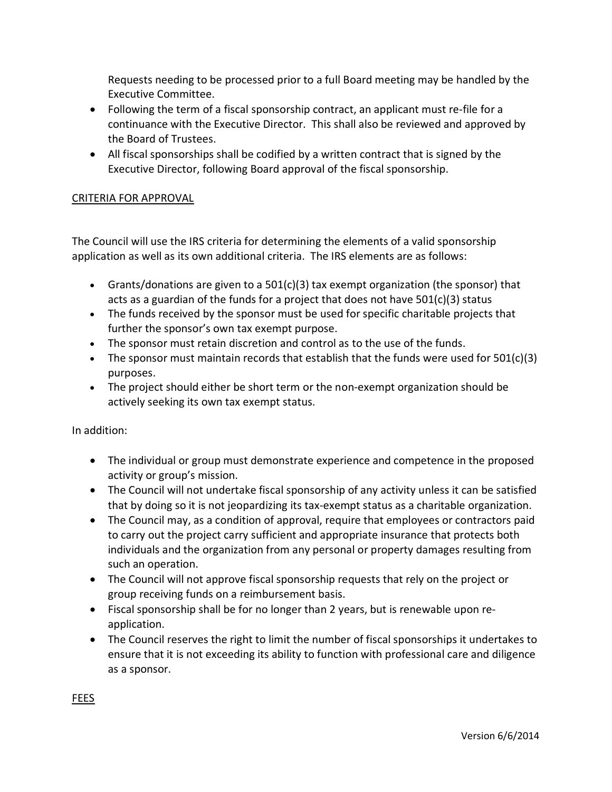Requests needing to be processed prior to a full Board meeting may be handled by the Executive Committee.

- Following the term of a fiscal sponsorship contract, an applicant must re-file for a continuance with the Executive Director. This shall also be reviewed and approved by the Board of Trustees.
- All fiscal sponsorships shall be codified by a written contract that is signed by the Executive Director, following Board approval of the fiscal sponsorship.

## CRITERIA FOR APPROVAL

The Council will use the IRS criteria for determining the elements of a valid sponsorship application as well as its own additional criteria. The IRS elements are as follows:

- Grants/donations are given to a  $501(c)(3)$  tax exempt organization (the sponsor) that acts as a guardian of the funds for a project that does not have  $501(c)(3)$  status
- The funds received by the sponsor must be used for specific charitable projects that further the sponsor's own tax exempt purpose.
- The sponsor must retain discretion and control as to the use of the funds.
- The sponsor must maintain records that establish that the funds were used for  $501(c)(3)$ purposes.
- The project should either be short term or the non-exempt organization should be actively seeking its own tax exempt status.

In addition:

- The individual or group must demonstrate experience and competence in the proposed activity or group's mission.
- The Council will not undertake fiscal sponsorship of any activity unless it can be satisfied that by doing so it is not jeopardizing its tax-exempt status as a charitable organization.
- The Council may, as a condition of approval, require that employees or contractors paid to carry out the project carry sufficient and appropriate insurance that protects both individuals and the organization from any personal or property damages resulting from such an operation.
- The Council will not approve fiscal sponsorship requests that rely on the project or group receiving funds on a reimbursement basis.
- Fiscal sponsorship shall be for no longer than 2 years, but is renewable upon reapplication.
- The Council reserves the right to limit the number of fiscal sponsorships it undertakes to ensure that it is not exceeding its ability to function with professional care and diligence as a sponsor.